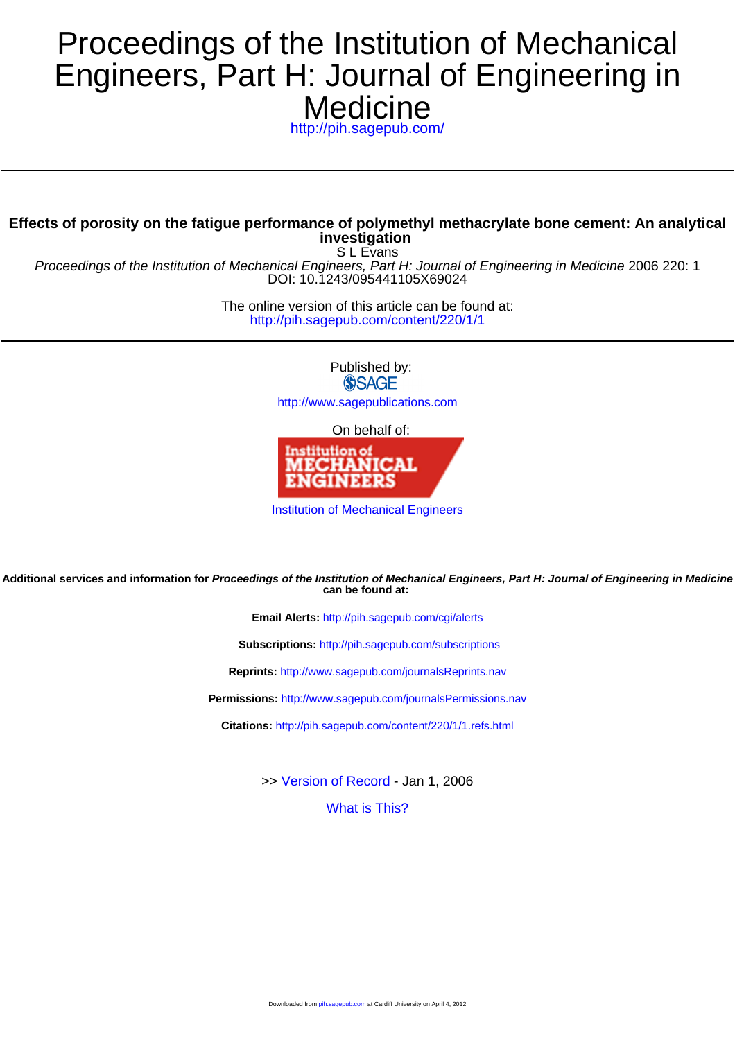# **Medicine** Engineers, Part H: Journal of Engineering in Proceedings of the Institution of Mechanical

<http://pih.sagepub.com/>

### **investigation Effects of porosity on the fatigue performance of polymethyl methacrylate bone cement: An analytical**

S L Evans

DOI: 10.1243/095441105X69024 Proceedings of the Institution of Mechanical Engineers, Part H: Journal of Engineering in Medicine 2006 220: 1

> <http://pih.sagepub.com/content/220/1/1> The online version of this article can be found at:

> > Published by: **SSAGE**

<http://www.sagepublications.com>

On behalf of:



[Institution of Mechanical Engineers](http://www.imeche.org/home)

**can be found at: Additional services and information for Proceedings of the Institution of Mechanical Engineers, Part H: Journal of Engineering in Medicine**

**Email Alerts:** <http://pih.sagepub.com/cgi/alerts>

**Subscriptions:** <http://pih.sagepub.com/subscriptions>

**Reprints:** <http://www.sagepub.com/journalsReprints.nav>

**Permissions:** <http://www.sagepub.com/journalsPermissions.nav>

**Citations:** <http://pih.sagepub.com/content/220/1/1.refs.html>

>> [Version of Record -](http://pih.sagepub.com/content/220/1/1.full.pdf) Jan 1, 2006

[What is This?](http://online.sagepub.com/site/sphelp/vorhelp.xhtml)

Downloaded from [pih.sagepub.com](http://pih.sagepub.com/) at Cardiff University on April 4, 2012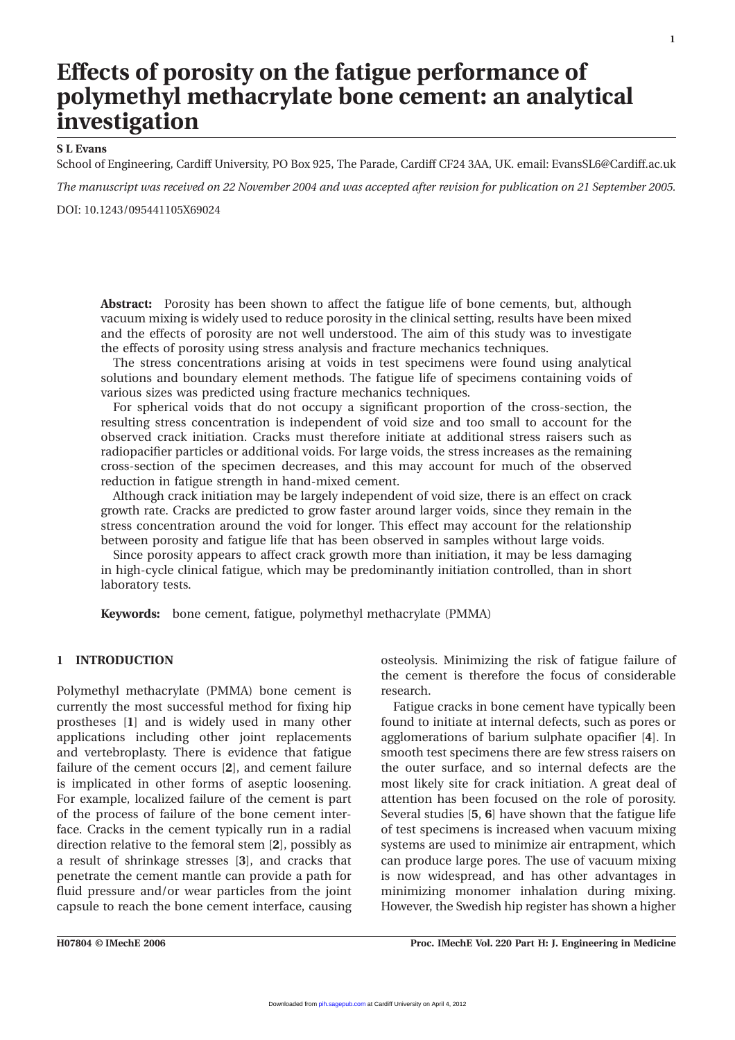## **Effects of porosity on the fatigue performance of polymethyl methacrylate bone cement: an analytical investigation**

**S L Evans**

School of Engineering, Cardiff University, PO Box 925, The Parade, Cardiff CF24 3AA, UK. email: EvansSL6@Cardiff.ac.uk

*The manuscript was received on 22 November 2004 and was accepted after revision for publication on 21 September 2005.*

DOI: 10.1243/095441105X69024

**Abstract:** Porosity has been shown to affect the fatigue life of bone cements, but, although vacuum mixing is widely used to reduce porosity in the clinical setting, results have been mixed and the effects of porosity are not well understood. The aim of this study was to investigate the effects of porosity using stress analysis and fracture mechanics techniques.

The stress concentrations arising at voids in test specimens were found using analytical solutions and boundary element methods. The fatigue life of specimens containing voids of various sizes was predicted using fracture mechanics techniques.

For spherical voids that do not occupy a significant proportion of the cross-section, the resulting stress concentration is independent of void size and too small to account for the observed crack initiation. Cracks must therefore initiate at additional stress raisers such as radiopacifier particles or additional voids. For large voids, the stress increases as the remaining cross-section of the specimen decreases, and this may account for much of the observed reduction in fatigue strength in hand-mixed cement.

Although crack initiation may be largely independent of void size, there is an effect on crack growth rate. Cracks are predicted to grow faster around larger voids, since they remain in the stress concentration around the void for longer. This effect may account for the relationship between porosity and fatigue life that has been observed in samples without large voids.

Since porosity appears to affect crack growth more than initiation, it may be less damaging in high-cycle clinical fatigue, which may be predominantly initiation controlled, than in short laboratory tests.

**Keywords:** bone cement, fatigue, polymethyl methacrylate (PMMA)

Polymethyl methacrylate (PMMA) bone cement is research. currently the most successful method for fixing hip Fatigue cracks in bone cement have typically been prostheses [**1**] and is widely used in many other found to initiate at internal defects, such as pores or applications including other joint replacements agglomerations of barium sulphate opacifier [**4**]. In and vertebroplasty. There is evidence that fatigue smooth test specimens there are few stress raisers on failure of the cement occurs [**2**], and cement failure the outer surface, and so internal defects are the is implicated in other forms of aseptic loosening. most likely site for crack initiation. A great deal of For example, localized failure of the cement is part attention has been focused on the role of porosity. of the process of failure of the bone cement inter- Several studies [**5**, **6**] have shown that the fatigue life face. Cracks in the cement typically run in a radial of test specimens is increased when vacuum mixing direction relative to the femoral stem [2], possibly as systems are used to minimize air entrapment, which a result of shrinkage stresses [**3**], and cracks that can produce large pores. The use of vacuum mixing penetrate the cement mantle can provide a path for is now widespread, and has other advantages in fluid pressure and/or wear particles from the joint minimizing monomer inhalation during mixing. capsule to reach the bone cement interface, causing However, the Swedish hip register has shown a higher

**1 INTRODUCTION** osteolysis. Minimizing the risk of fatigue failure of the cement is therefore the focus of considerable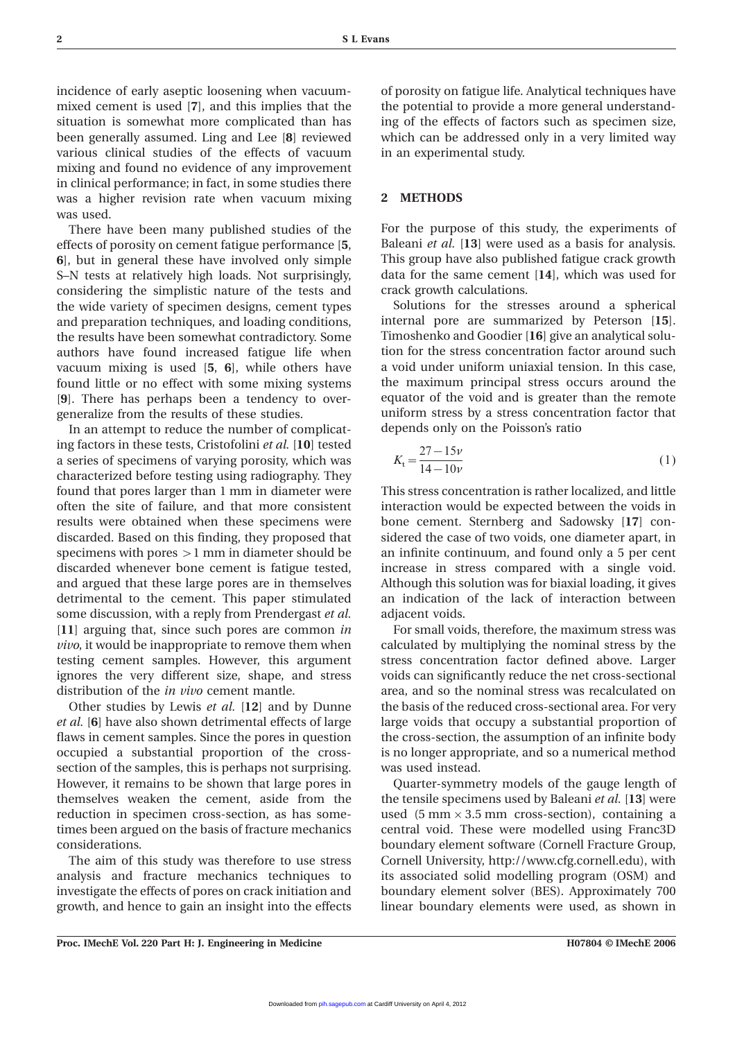mixed cement is used [**7**], and this implies that the the potential to provide a more general understandsituation is somewhat more complicated than has ing of the effects of factors such as specimen size, been generally assumed. Ling and Lee [**8**] reviewed which can be addressed only in a very limited way various clinical studies of the effects of vacuum in an experimental study. mixing and found no evidence of any improvement in clinical performance; in fact, in some studies there was a higher revision rate when vacuum mixing **2 METHODS** was used.

effects of porosity on cement fatigue performance [**5**, Baleani *et al.* [**13**] were used as a basis for analysis. **6**], but in general these have involved only simple This group have also published fatigue crack growth S–N tests at relatively high loads. Not surprisingly, data for the same cement [**14**], which was used for considering the simplistic nature of the tests and crack growth calculations. the wide variety of specimen designs, cement types and preparation techniques, and loading conditions, internal pore are summarized by Peterson [**15**]. the results have been somewhat contradictory. Some<br>authors have found increased fatigue life when tion for the stress concentration factor around such authors have found increased fatigue life when vacuum mixing is used [**5**, **6**], while others have a void under uniform uniaxial tension. In this case, found little or no effect with some mixing systems the maximum principal stress occurs around the [**9**]. There has perhaps been a tendency to over- equator of the void and is greater than the remote

In an attempt to reduce the number of complicating factors in these tests, Cristofolini *et al.* [**10**] tested a series of specimens of varying porosity, which was characterized before testing using radiography. They found that pores larger than 1 mm in diameter were This stress concentration is rather localized, and little often the site of failure, and that more consistent interaction would be expected between the voids in results were obtained when these specimens were bone cement. Sternberg and Sadowsky [**17**] condiscarded. Based on this finding, they proposed that sidered the case of two voids, one diameter apart, in specimens with pores  $>1$  mm in diameter should be an infinite continuum, and found only a 5 per cent discarded whenever bone cement is fatigue tested, increase in stress compared with a single void. and argued that these large pores are in themselves Although this solution was for biaxial loading, it gives detrimental to the cement. This paper stimulated an indication of the lack of interaction between some discussion, with a reply from Prendergast et al. adjacent voids. [**11**] arguing that, since such pores are common *in* For small voids, therefore, the maximum stress was *vivo*, it would be inappropriate to remove them when calculated by multiplying the nominal stress by the testing cement samples. However, this argument stress concentration factor defined above. Larger ignores the very different size, shape, and stress voids can significantly reduce the net cross-sectional distribution of the *in vivo* cement mantle. **area**, and so the nominal stress was recalculated on

et al. [6] have also shown detrimental effects of large large voids that occupy a substantial proportion of flaws in cement samples. Since the pores in question the cross-section, the assumption of an infinite body occupied a substantial proportion of the cross- is no longer appropriate, and so a numerical method section of the samples, this is perhaps not surprising. was used instead. However, it remains to be shown that large pores in Quarter-symmetry models of the gauge length of times been argued on the basis of fracture mechanics central void. These were modelled using Franc3D considerations. boundary element software (Cornell Fracture Group,

analysis and fracture mechanics techniques to its associated solid modelling program (OSM) and investigate the effects of pores on crack initiation and boundary element solver (BES). Approximately 700 growth, and hence to gain an insight into the effects linear boundary elements were used, as shown in

incidence of early aseptic loosening when vacuum- of porosity on fatigue life. Analytical techniques have

There have been many published studies of the For the purpose of this study, the experiments of

generalize from the results of these studies. uniform stress by a stress concentration factor that<br>In an attempt to reduce the number of complicat-<br>depends only on the Poisson's ratio

$$
K_{\rm t} = \frac{27 - 15\nu}{14 - 10\nu} \tag{1}
$$

Other studies by Lewis *et al.* [12] and by Dunne the basis of the reduced cross-sectional area. For very

themselves weaken the cement, aside from the the tensile specimens used by Baleani *et al.* [**13**] were reduction in specimen cross-section, as has some-<br>used  $(5 \text{ mm} \times 3.5 \text{ mm}$  cross-section), containing a The aim of this study was therefore to use stress Cornell University, http://www.cfg.cornell.edu), with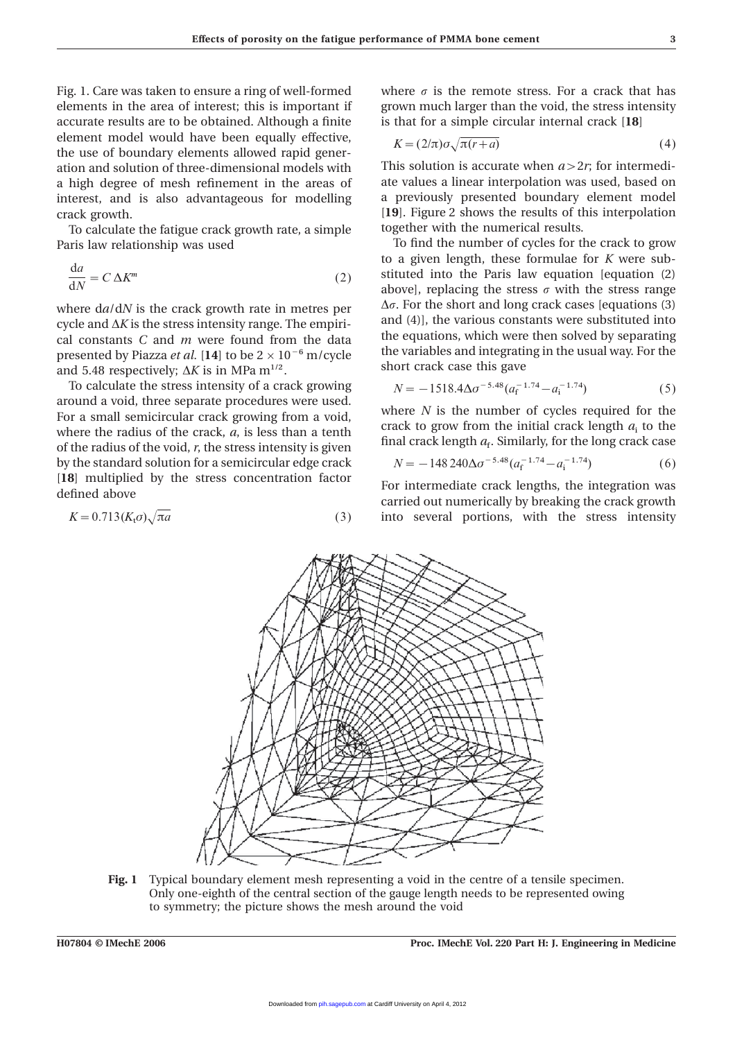Fig. 1. Care was taken to ensure a ring of well-formed where  $\sigma$  is the remote stress. For a crack that has elements in the area of interest; this is important if grown much larger than the void, the stress intensity accurate results are to be obtained. Although a finite is that for a simple circular internal crack [**18**] element model would have been equally effective, the use of boundary elements allowed rapid generation and solution of three-dimensional models with This solution is accurate when  $a > 2r$ ; for intermedi-<br>a high degree of mesh refinement in the areas of ate values a linear interpolation was used, based on a high degree of mesh refinement in the areas of ate values a linear interpolation was used, based on interest, and is also advantageous for modelling a previously presented boundary element model interest, and is also advantageous for modelling

To calculate the fatigue crack growth rate, a simple Paris law relationship was used To find the number of cycles for the crack to grow

$$
\frac{\mathrm{d}a}{\mathrm{d}N} = C \,\Delta K^m \tag{2}
$$

around a void, three separate procedures were used.<br>For a small semicircular crack growing from a void,<br>where *N* is the number of cycles required for the<br>where the radius of the crack, *a*, is less than a tenth<br>crack to where the radius of the crack, *a*, is less than a tenth crack to grow from the initial crack length  $a_i$  to the of the void *r* the stress intensity is given final crack length  $a_f$ . Similarly, for the long crack case of the radius of the void, *r*, the stress intensity is given

$$
K = 0.713(Kt\sigma)\sqrt{\pi a}
$$
 (3)

$$
K = (2/\pi)\sigma\sqrt{\pi(r+a)}\tag{4}
$$

crack growth.<br> **19**]. Figure 2 shows the results of this interpolation<br>
To calculate the fatigue crack growth rate a simple<br>
together with the numerical results.

to a given length, these formulae for *K* were substituted into the Paris law equation [equation (2) above], replacing the stress  $\sigma$  with the stress range where  $da/dN$  is the crack growth rate in metres per<br>cycle and  $\Delta K$  is the stress intensity range. The empiri-<br>cal constants C and *m* were found from the data<br>negations, which were then solved by separating<br>negented by Pi the variables and integrating in the usual way. For the usual way. For the usual way. For the usual way. This solution is accurate when  $a > 2r$ ; for intermediation and solution of three-dimensional models with This soluti To calculate the stress intensity of a crack growing *N*=−1518.4 $\Delta \sigma^{-5.48} (a<sub>r</sub><sup>-1.74</sup>−a<sub>r</sub><sup>-1.74</sup>)$  (5)<br>To calculate the fatigue crack growth rate, a simple the stress intervolution was used, based on<br>terest, a Frack *b* and the mumber of cycles required into the Paris aw relationship was used<br>  $\frac{da}{dN} = C \Delta K^m$  (2) stituted into the Paris law equation [equation (2)<br>
above], replacing the stress *σ* with the stress range<br>
wher

$$
N = -1518.4\Delta\sigma^{-5.48}(a_{\rm f}^{-1.74} - a_{\rm i}^{-1.74})\tag{5}
$$

i

$$
N = -148\,240\Delta\sigma^{-5.48}(a_f^{-1.74} - a_i^{-1.74})\tag{6}
$$

[**18**] multiplied by the stress concentration factor For intermediate crack lengths, the integration was defined above carried out numerically by breaking the crack growth  $K(t)$  into several portions, with the stress intensity



**Fig. 1** Typical boundary element mesh representing a void in the centre of a tensile specimen. Only one-eighth of the central section of the gauge length needs to be represented owing to symmetry; the picture shows the mesh around the void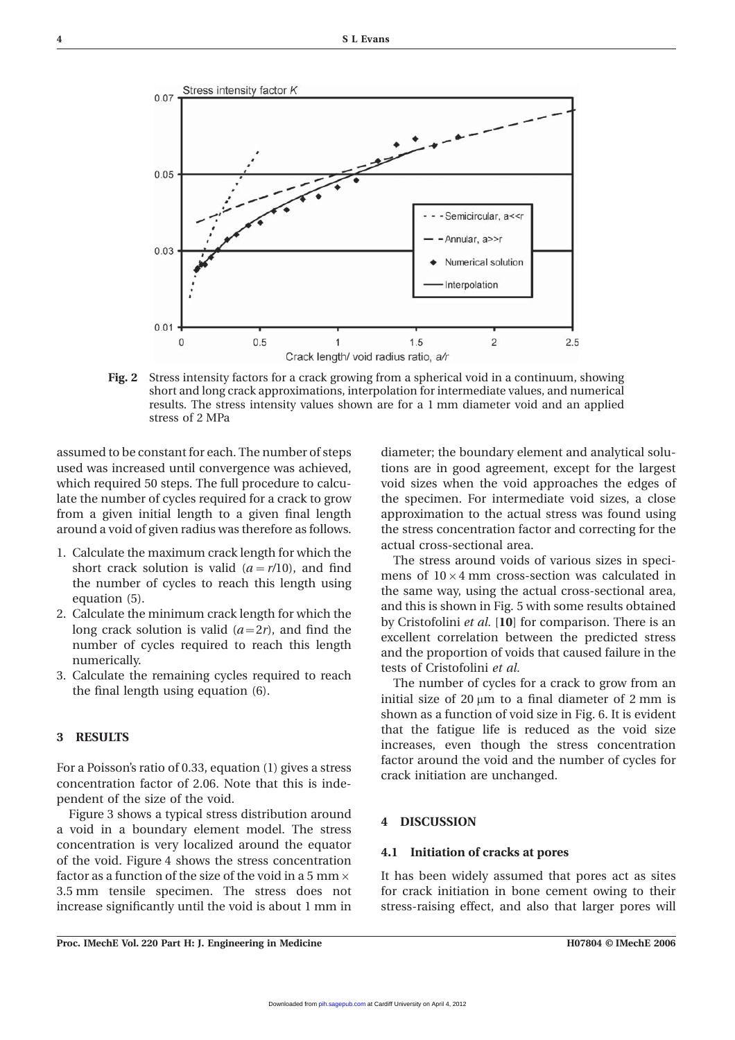

**Fig. 2** Stress intensity factors for a crack growing from a spherical void in a continuum, showing short and long crack approximations, interpolation for intermediate values, and numerical results. The stress intensity values shown are for a 1 mm diameter void and an applied stress of 2 MPa

- 
- 
- 

pendent of the size of the void.

Figure 3 shows a typical stress distribution around **4 DISCUSSION** a void in a boundary element model. The stress concentration is very localized around the equator **4.1 Initiation of cracks at pores** of the void. Figure 4 shows the stress concentration factor as a function of the size of the void in a 5 mm  $\times$  It has been widely assumed that pores act as sites

assumed to be constant for each. The number of steps diameter; the boundary element and analytical soluused was increased until convergence was achieved, tions are in good agreement, except for the largest which required 50 steps. The full procedure to calcu-<br>void sizes when the void approaches the edges of late the number of cycles required for a crack to grow the specimen. For intermediate void sizes, a close from a given initial length to a given final length approximation to the actual stress was found using around a void of given radius was therefore as follows. the stress concentration factor and correcting for the

1. Calculate the maximum crack length for which the<br>short crack solution is valid  $(a = r/10)$ , and find<br>the number of cycles to reach this length using<br>equation (5).<br>2. Calculate the minimum crack length for which the<br>long

shown as a function of void size in Fig. 6. It is evident that the fatigue life is reduced as the void size **3 RESULTS** increases, even though the stress concentration For a Poisson's ratio of 0.33, equation (1) gives a stress factor around the void and the number of cycles for<br>concentration factor of 2.06. Note that this is inde-<br> $\frac{1}{2}$ 

3.5 mm tensile specimen. The stress does not for crack initiation in bone cement owing to their increase significantly until the void is about 1 mm in stress-raising effect, and also that larger pores will

**Proc. IMechE Vol. 220 Part H: J. Engineering in Medicine H07804 © IMechE 2006**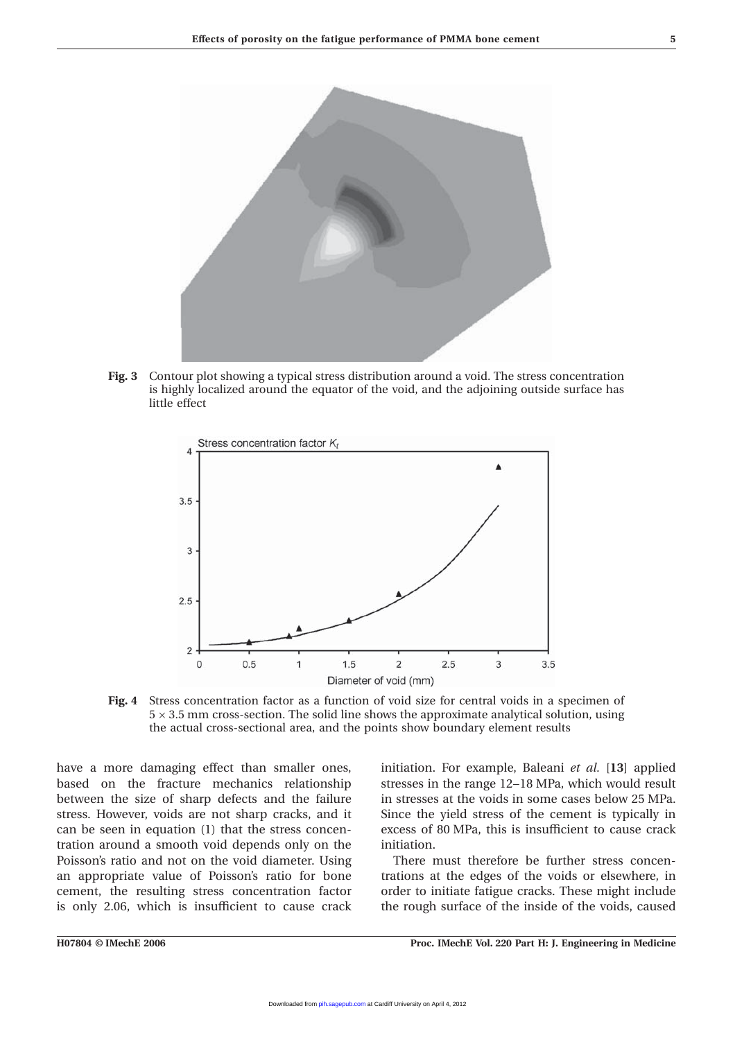

**Fig. 3** Contour plot showing a typical stress distribution around a void. The stress concentration is highly localized around the equator of the void, and the adjoining outside surface has little effect



**Fig. 4** Stress concentration factor as a function of void size for central voids in a specimen of  $5 \times 3.5$  mm cross-section. The solid line shows the approximate analytical solution, using the actual cross-sectional area, and the points show boundary element results

have a more damaging effect than smaller ones, initiation. For example, Baleani *et al.* [**13**] applied based on the fracture mechanics relationship stresses in the range 12–18 MPa, which would result between the size of sharp defects and the failure in stresses at the voids in some cases below 25 MPa. stress. However, voids are not sharp cracks, and it Since the yield stress of the cement is typically in can be seen in equation (1) that the stress concen- excess of 80 MPa, this is insufficient to cause crack tration around a smooth void depends only on the initiation. Poisson's ratio and not on the void diameter. Using There must therefore be further stress concenan appropriate value of Poisson's ratio for bone trations at the edges of the voids or elsewhere, in cement, the resulting stress concentration factor order to initiate fatigue cracks. These might include is only 2.06, which is insufficient to cause crack the rough surface of the inside of the voids, caused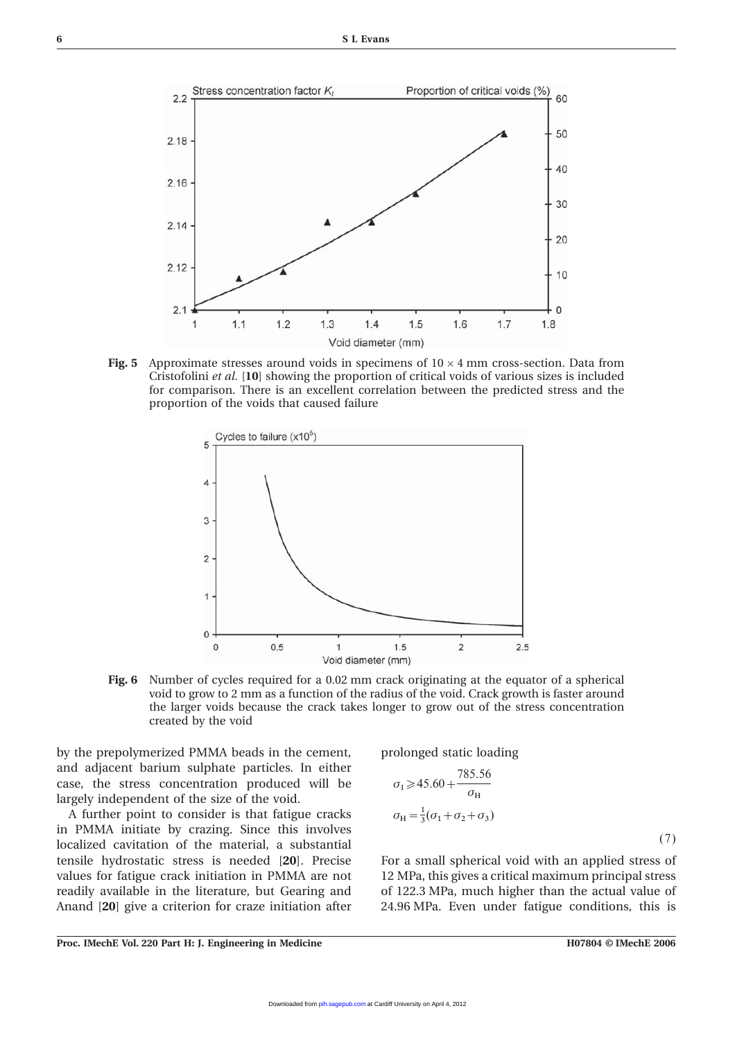

**Fig. 5** Approximate stresses around voids in specimens of  $10 \times 4$  mm cross-section. Data from Cristofolini *et al.* [**10**] showing the proportion of critical voids of various sizes is included for comparison. There is an excellent correlation between the predicted stress and the proportion of the voids that caused failure



**Fig. 6** Number of cycles required for a 0.02 mm crack originating at the equator of a spherical void to grow to 2 mm as a function of the radius of the void. Crack growth is faster around the larger voids because the crack takes longer to grow out of the stress concentration created by the void

by the prepolymerized PMMA beads in the cement, prolonged static loading and adjacent barium sulphate particles. In either case, the stress concentration produced will be largely independent of the size of the void.

A further point to consider is that fatigue cracks in PMMA initiate by crazing. Since this involves (7) localized cavitation of the material, a substantial (7) tensile hydrostatic stress is needed [**20**]. Precise For a small spherical void with an applied stress of values for fatigue crack initiation in PMMA are not 12 MPa, this gives a critical maximum principal stress readily available in the literature, but Gearing and of 122.3 MPa, much higher than the actual value of Anand [**20**] give a criterion for craze initiation after 24.96 MPa. Even under fatigue conditions, this is

$$
\sigma_1 \ge 45.60 + \frac{785.56}{\sigma_H}
$$
  

$$
\sigma_H = \frac{1}{3}(\sigma_1 + \sigma_2 + \sigma_3)
$$

**Proc. IMechE Vol. 220 Part H: J. Engineering in Medicine H07804 © IMechE 2006**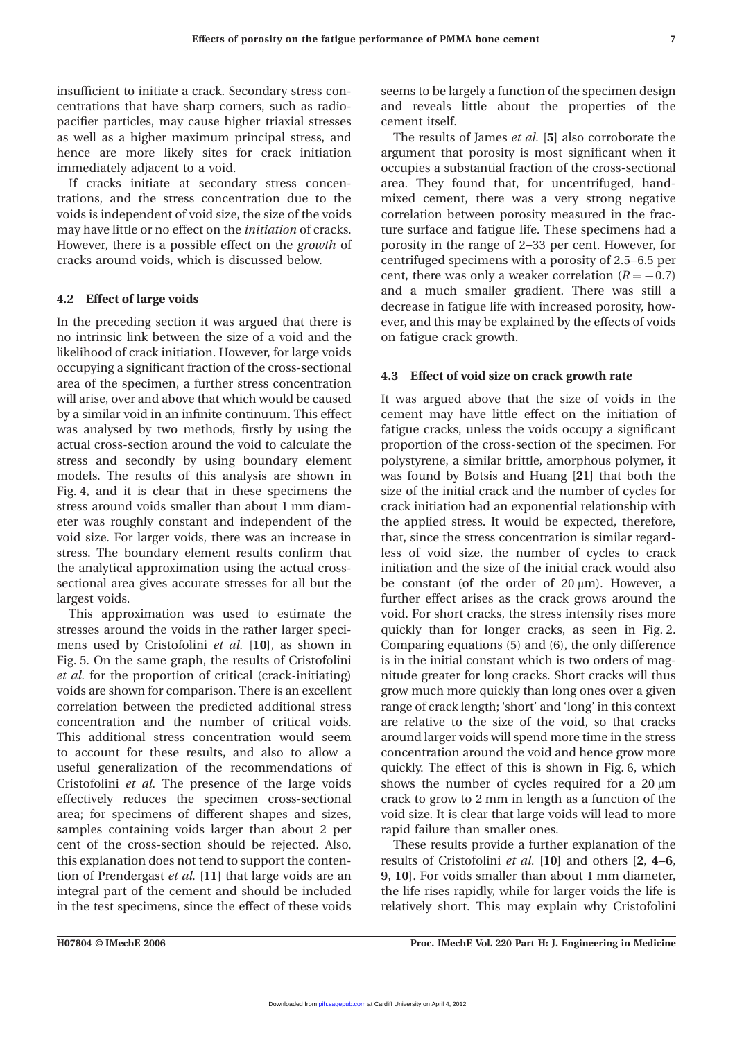centrations that have sharp corners, such as radio- and reveals little about the properties of the pacifier particles, may cause higher triaxial stresses cement itself. as well as a higher maximum principal stress, and The results of James *et al.* [**5**] also corroborate the hence are more likely sites for crack initiation argument that porosity is most significant when it immediately adjacent to a void. occupies a substantial fraction of the cross-sectional

trations, and the stress concentration due to the mixed cement, there was a very strong negative voids is independent of void size, the size of the voids correlation between porosity measured in the fracmay have little or no effect on the *initiation* of cracks. ture surface and fatigue life. These specimens had a However, there is a possible effect on the *growth* of porosity in the range of 2–33 per cent. However, for cracks around voids, which is discussed below. centrifuged specimens with a porosity of 2.5–6.5 per

no intrinsic link between the size of a void and the on fatigue crack growth. likelihood of crack initiation. However, for large voids occupying a significant fraction of the cross-sectional **4.3 Effect of void size on crack growth rate** area of the specimen, a further stress concentration will arise, over and above that which would be caused It was argued above that the size of voids in the by a similar void in an infinite continuum. This effect cement may have little effect on the initiation of was analysed by two methods, firstly by using the fatigue cracks, unless the voids occupy a significant actual cross-section around the void to calculate the proportion of the cross-section of the specimen. For stress and secondly by using boundary element polystyrene, a similar brittle, amorphous polymer, it models. The results of this analysis are shown in was found by Botsis and Huang [**21**] that both the Fig. 4, and it is clear that in these specimens the size of the initial crack and the number of cycles for stress around voids smaller than about 1 mm diam- crack initiation had an exponential relationship with eter was roughly constant and independent of the the applied stress. It would be expected, therefore, void size. For larger voids, there was an increase in that, since the stress concentration is similar regardstress. The boundary element results confirm that less of void size, the number of cycles to crack the analytical approximation using the actual cross- initiation and the size of the initial crack would also sectional area gives accurate stresses for all but the be constant (of the order of  $20 \mu m$ ). However, a largest voids. further effect arises as the crack grows around the

stresses around the voids in the rather larger speci- quickly than for longer cracks, as seen in Fig. 2. mens used by Cristofolini *et al.* [**10**], as shown in Comparing equations (5) and (6), the only difference Fig. 5. On the same graph, the results of Cristofolini is in the initial constant which is two orders of mag*et al.* for the proportion of critical (crack-initiating) nitude greater for long cracks. Short cracks will thus voids are shown for comparison. There is an excellent grow much more quickly than long ones over a given correlation between the predicted additional stress range of crack length; 'short' and 'long' in this context concentration and the number of critical voids. are relative to the size of the void, so that cracks This additional stress concentration would seem around larger voids will spend more time in the stress to account for these results, and also to allow a concentration around the void and hence grow more useful generalization of the recommendations of quickly. The effect of this is shown in Fig. 6, which Cristofolini *et al.* The presence of the large voids shows the number of cycles required for a  $20 \mu m$ effectively reduces the specimen cross-sectional crack to grow to 2 mm in length as a function of the area; for specimens of different shapes and sizes, void size. It is clear that large voids will lead to more samples containing voids larger than about 2 per rapid failure than smaller ones. cent of the cross-section should be rejected. Also, These results provide a further explanation of the this explanation does not tend to support the conten- results of Cristofolini *et al.* [**10**] and others [**2**, **4**–**6**, tion of Prendergast *et al.* [**11**] that large voids are an **9**, **10**]. For voids smaller than about 1 mm diameter, integral part of the cement and should be included the life rises rapidly, while for larger voids the life is in the test specimens, since the effect of these voids relatively short. This may explain why Cristofolini

insufficient to initiate a crack. Secondary stress con- seems to be largely a function of the specimen design

If cracks initiate at secondary stress concen- area. They found that, for uncentrifuged, handcent, there was only a weaker correlation  $(R = -0.7)$ **4.2 Effect of large voids** a **4.2 Effect of large voids** decrease in fatigue life with increased porosity, how-In the preceding section it was argued that there is ever, and this may be explained by the effects of voids

This approximation was used to estimate the void. For short cracks, the stress intensity rises more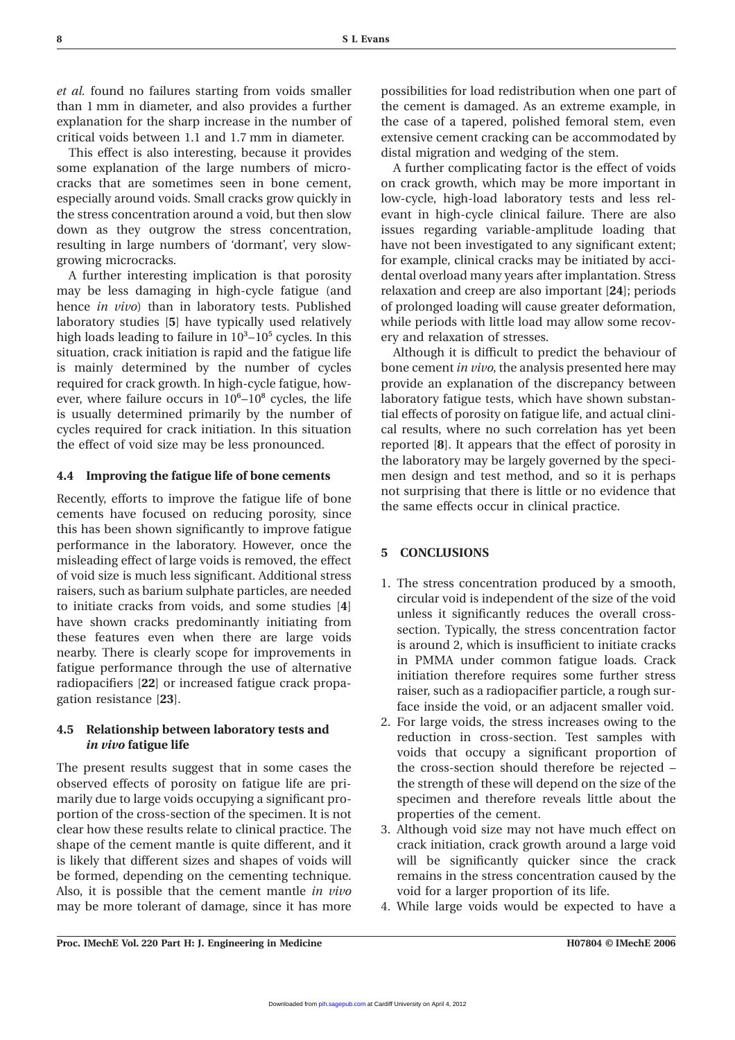than 1 mm in diameter, and also provides a further the cement is damaged. As an extreme example, in explanation for the sharp increase in the number of the case of a tapered, polished femoral stem, even critical voids between 1.1 and 1.7 mm in diameter. extensive cement cracking can be accommodated by

This effect is also interesting, because it provides distal migration and wedging of the stem. some explanation of the large numbers of micro- A further complicating factor is the effect of voids cracks that are sometimes seen in bone cement, on crack growth, which may be more important in especially around voids. Small cracks grow quickly in low-cycle, high-load laboratory tests and less relthe stress concentration around a void, but then slow evant in high-cycle clinical failure. There are also down as they outgrow the stress concentration, issues regarding variable-amplitude loading that resulting in large numbers of 'dormant', very slow- have not been investigated to any significant extent; growing microcracks.  $\qquad \qquad$  for example, clinical cracks may be initiated by acci-

may be less damaging in high-cycle fatigue (and relaxation and creep are also important [**24**]; periods hence *in vivo*) than in laboratory tests. Published of prolonged loading will cause greater deformation, laboratory studies [**5**] have typically used relatively while periods with little load may allow some recovhigh loads leading to failure in  $10^3 - 10^5$  cycles. In this ery and relaxation of stresses. situation, crack initiation is rapid and the fatigue life Although it is difficult to predict the behaviour of is mainly determined by the number of cycles bone cement *in vivo*, the analysis presented here may required for crack growth. In high-cycle fatigue, how- provide an explanation of the discrepancy between ever, where failure occurs in  $10^6-10^8$  cycles, the life laboratory fatigue tests, which have shown substanis usually determined primarily by the number of tial effects of porosity on fatigue life, and actual clinicycles required for crack initiation. In this situation cal results, where no such correlation has yet been the effect of void size may be less pronounced. reported [**8**]. It appears that the effect of porosity in

this has been shown significantly to improve fatigue performance in the laboratory. However, once the **5 CONCLUSIONS** misleading effect of large voids is removed, the effect

portion of the cross-section of the specimen. It is not properties of the cement. clear how these results relate to clinical practice. The 3. Although void size may not have much effect on shape of the cement mantle is quite different, and it crack initiation, crack growth around a large void be formed, depending on the cementing technique. The remains in the stress concentration caused by the Also, it is possible that the cement mantle *in vivo* void for a larger proportion of its life. may be more tolerant of damage, since it has more 4. While large voids would be expected to have a

*et al.* found no failures starting from voids smaller possibilities for load redistribution when one part of

A further interesting implication is that porosity dental overload many years after implantation. Stress

the laboratory may be largely governed by the speci-**4.4 Improving the fatigue life of bone cements** men design and test method, and so it is perhaps Recently, efforts to improve the fatigue life of bone that the same effects occur in clinical practice.<br>
the same effects occur in clinical practice.

- of void size is much less significant. Additional stress<br>raisers, such as barium sulphate particles, are needed<br>to initiate cracks from voids, and some studies [4]<br>have shown cracks predominantly initiating from<br>these feat
- **4.5 Relationship between laboratory tests and** 2. For large voids, the stress increases owing to the reduction in cross-section. Test samples with *in vivo* fatigue life voids that occupy a significant proportion of The present results suggest that in some cases the the cross-section should therefore be rejected – observed effects of porosity on fatigue life are pri- the strength of these will depend on the size of the marily due to large voids occupying a significant pro- specimen and therefore reveals little about the
- is likely that different sizes and shapes of voids will will be significantly quicker since the crack
	-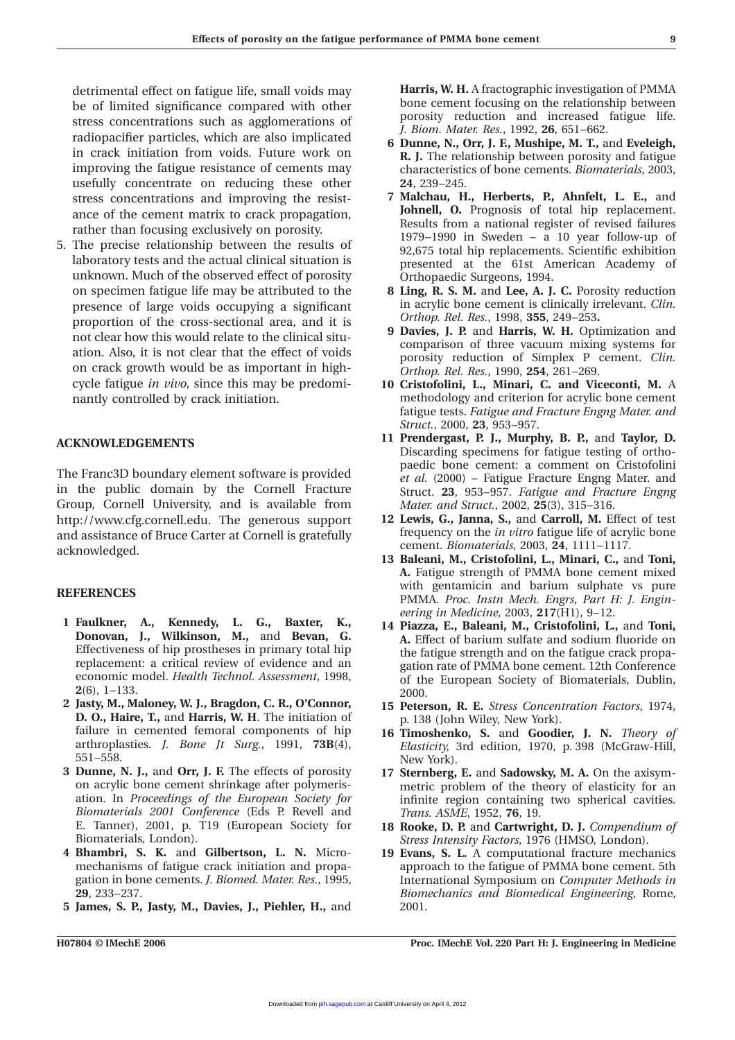detrimental effect on fatigue life, small voids may **Harris, W. H.** A fractographic investigation of PMMA be of limited significance compared with other bone cement focusing on the relationship between be of limited significance compared with other<br>stress concentrations such as agglomerations of<br>radiopacifier particles, which are also implicated<br>in crack initiation from voids. Future work on<br>**EXECUTE:** The relationship b improving the fatigue resistance of cements may characteristics of bone cements. *Biomaterials*, 2003, usefully concentrate on reducing these other **24**, 239–245.<br> **24**, 239–245.<br> **24, 239–245.**<br> **27 Malchau, H., Herberts, P., Ahnfelt, L. E.,** and

unknown. Much of the observed effect of porosity **Orthopaedic Surgeons**, 1994. on specimen fatigue life may be attributed to the **8 Ling, R. S. M.** and **Lee, A. J. C.** Porosity reduction presence of large voids occupying a significant in acrylic bone cement is clinically irrelevant. *Clin.* presence of large voids occupying a significant in acrylic bone cement is clinically in<br>proportion of the cross-sectional area and it is *Orthop. Rel. Res.*, 1998, **355**, 249–253. proportion of the cross-sectional area, and it is<br>not clear how this would relate to the clinical situ-<br>ation. Also, it is not clear that the effect of voids<br>ation. Also, it is not clear that the effect of voids<br>not provid on crack growth would be as important in high- *Orthop. Rel. Res.*, 1990, **254**, 261–269.

Group, Cornell University, and is available from *Mater. and Struct.*, 2002, **25**(3), 315–316. http://www.cfg.cornell.edu. The generous support **12 Lewis, G., Janna, S.,** and **Carroll, M.** Effect of test and assistance of Bruce Carter at Cornell is gratefully frequency on the *in vitro* fatigue life of acrylic bone<br>acknowledged. **EXECUTE:** 13 Baleani, M., Cristofolini, L., Minari, C., and Toni,

- 1 Faulkner, A., Kennedy, L. G., Baxter, K., *eering in Medicine*, 2003, 217(H1), 9-12.<br> **Donovan, J., Wilkinson, M., and Bevan, G.** A. Effect of barium sulfate and sodium fluoride on<br>
Effectiveness of hip prostheses in pri
- **D. O., Haire, T., and Harris, W. H**. The initiation of p. 138 (John Wiley, New York).<br>
failure in cemented femoral components of hip **16 Timoshenko, S.** and **Goodier, J. N.** Theory of arthroplasties. *J. Bone Jt Surg.*, 1
- 551–558. New York).<br> **3 Dunne, N. J., and Orr, J. F.** The effects of porosity **17 Sternberg.** *Biomaterials 2001 Conference* (Eds P. Revell and *Trans. ASME*, 1952, **76**, 19.
- Biomaterials, London).<br>**4 Bhambri, S. K.** and **Gilbertson, L. N.** Micro-**19 Evans, S. L.** A computational fracture mecha
- **5 James, S. P., Jasty, M., Davies, J., Piehler, H.,** and 2001.

- stress concentrations and improving the resist-<br> **7 Malchau, H., Herberts, P., Ahnfelt, L. E.,** and<br> **10 Iohnell, O.** Prognosis of total hip replacement. ance of the cement matrix to crack propagation,<br>
rather than focusing exclusively on porosity.<br>
5. The precise relationship between the results of<br>
laboratory tests and the actual clinical situation is<br>
laboratory tests an
	-
	-
	- 10 Cristofolini, L., Minari, C. and Viceconti, M. A nantly controlled by crack initiation. methodology and criterion for acrylic bone cement fatigue tests. *Fatigue and Fracture Engng Mater. and Struct.*, 2000, **23**, 953–957.
- **11 Prendergast, P. J., Murphy, B. P., and <b>Taylor, D.** Discarding specimens for fatigue testing of ortho-<br>Discarding specimens for fatigue testing of ortho-<br>paedic bone cement: a comment on Cristofolini The Franc3D boundary element software is provided<br>in the public domain by the Cornell Fracture<br>Fracture Struct. 23, 953–957. Fatigue and Fracture Engng
	-
- **A.** Fatigue strength of PMMA bone cement mixed with gentamicin and barium sulphate vs pure **REFERENCES** PMMA. *Proc. Instn Mech. Engrs, Part H: J. Engin-*
- Effectiveness of hip prostheses in primary total hip<br>replacement: a critical review of evidence and an<br>economic model. *Health Technol. Assessment*, 1998,<br>**2** (6), 1–133.<br>**2 Jasty, M., Maloney, W. J., Bragdon, C. R., O'C** 
	- **2 Jasty, M., Maloney, W. J., Bragdon, C. R., O'Connor, 15 Peterson, R. E.** *Stress Concentration Factors*, 1974,
		-
	- **3 Dunne, N. J.,** and **Orr, J. F.** The effects of porosity **17 Sternberg, E.** and **Sadowsky, M. A.** On the axisym-<br>on acrylic bone cement shrinkage after polymeris-<br>metric problem of the theory of elasticity for an metric problem of the theory of elasticity for an ation. In *Proceedings of the European Society for* infinite region containing two spherical cavities.
	- E. Tanner), 2001, p. T19 (European Society for **18 Rooke, D. P.** and **Cartwright, D. J.** *Compendium of*
	- 19 Evans, S. L. A computational fracture mechanics mechanisms of fatigue crack initiation and propa- approach to the fatigue of PMMA bone cement. 5th gation in bone cements. *J. Biomed. Mater. Res.*, 1995, International Symposium on *Computer Methods in* **29**, 233–237. *Biomechanics and Biomedical Engineering*, Rome,